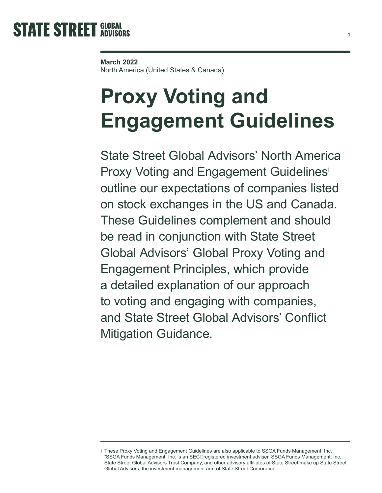## **March 2022**

North America (United States & Canada)

# **Proxy Voting and Engagement Guidelines**

State Street Global Advisors' North America Proxy Voting and Engagement Guidelines<sup>i</sup> outline our expectations of companies listed on stock exchanges in the US and Canada. These Guidelines complement and should be read in conjunction with State Street Global Advisors' Global Proxy Voting and Engagement Principles, which provide a detailed explanation of our approach to voting and engaging with companies, and State Street Global Advisors' Conflict Mitigation Guidance.

**i** These Proxy Voting and Engagement Guidelines are also applicable to SSGA Funds Management, Inc. "SSGA Funds Management, Inc. is an SEC‐registered investment adviser. SSGA Funds Management, Inc., State Street Global Advisors Trust Company, and other advisory affiliates of State Street make up State Street Global Advisors, the investment management arm of State Street Corporation.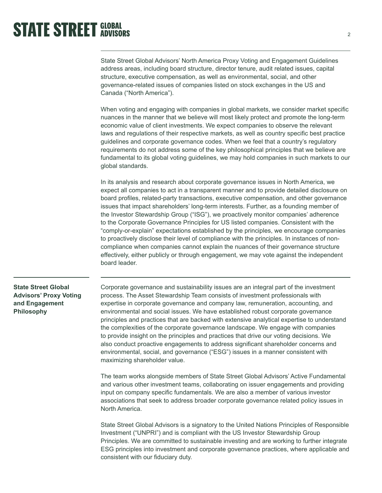State Street Global Advisors' North America Proxy Voting and Engagement Guidelines address areas, including board structure, director tenure, audit related issues, capital structure, executive compensation, as well as environmental, social, and other governance-related issues of companies listed on stock exchanges in the US and Canada ("North America").

When voting and engaging with companies in global markets, we consider market specific nuances in the manner that we believe will most likely protect and promote the long-term economic value of client investments. We expect companies to observe the relevant laws and regulations of their respective markets, as well as country specific best practice guidelines and corporate governance codes. When we feel that a country's regulatory requirements do not address some of the key philosophical principles that we believe are fundamental to its global voting guidelines, we may hold companies in such markets to our global standards.

In its analysis and research about corporate governance issues in North America, we expect all companies to act in a transparent manner and to provide detailed disclosure on board profiles, related-party transactions, executive compensation, and other governance issues that impact shareholders' long-term interests. Further, as a founding member of the Investor Stewardship Group ("ISG"), we proactively monitor companies' adherence to the Corporate Governance Principles for US listed companies. Consistent with the "comply-or-explain" expectations established by the principles, we encourage companies to proactively disclose their level of compliance with the principles. In instances of noncompliance when companies cannot explain the nuances of their governance structure effectively, either publicly or through engagement, we may vote against the independent board leader.

## **State Street Global Advisors' Proxy Voting and Engagement Philosophy**

Corporate governance and sustainability issues are an integral part of the investment process. The Asset Stewardship Team consists of investment professionals with expertise in corporate governance and company law, remuneration, accounting, and environmental and social issues. We have established robust corporate governance principles and practices that are backed with extensive analytical expertise to understand the complexities of the corporate governance landscape. We engage with companies to provide insight on the principles and practices that drive our voting decisions. We also conduct proactive engagements to address significant shareholder concerns and environmental, social, and governance ("ESG") issues in a manner consistent with maximizing shareholder value.

The team works alongside members of State Street Global Advisors' Active Fundamental and various other investment teams, collaborating on issuer engagements and providing input on company specific fundamentals. We are also a member of various investor associations that seek to address broader corporate governance related policy issues in North America.

State Street Global Advisors is a signatory to the United Nations Principles of Responsible Investment ("UNPRI") and is compliant with the US Investor Stewardship Group Principles. We are committed to sustainable investing and are working to further integrate ESG principles into investment and corporate governance practices, where applicable and consistent with our fiduciary duty.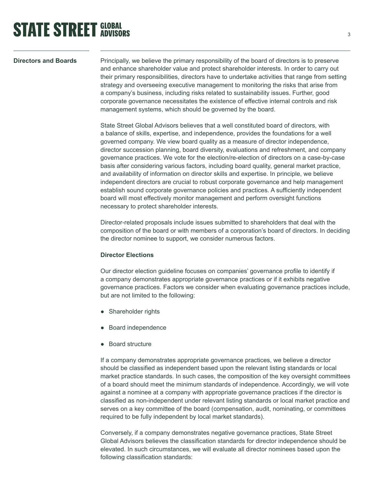## **Directors and Boards**

Principally, we believe the primary responsibility of the board of directors is to preserve and enhance shareholder value and protect shareholder interests. In order to carry out their primary responsibilities, directors have to undertake activities that range from setting strategy and overseeing executive management to monitoring the risks that arise from a company's business, including risks related to sustainability issues. Further, good corporate governance necessitates the existence of effective internal controls and risk management systems, which should be governed by the board.

State Street Global Advisors believes that a well constituted board of directors, with a balance of skills, expertise, and independence, provides the foundations for a well governed company. We view board quality as a measure of director independence, director succession planning, board diversity, evaluations and refreshment, and company governance practices. We vote for the election/re-election of directors on a case-by-case basis after considering various factors, including board quality, general market practice, and availability of information on director skills and expertise. In principle, we believe independent directors are crucial to robust corporate governance and help management establish sound corporate governance policies and practices. A sufficiently independent board will most effectively monitor management and perform oversight functions necessary to protect shareholder interests.

Director-related proposals include issues submitted to shareholders that deal with the composition of the board or with members of a corporation's board of directors. In deciding the director nominee to support, we consider numerous factors.

## **Director Elections**

Our director election guideline focuses on companies' governance profile to identify if a company demonstrates appropriate governance practices or if it exhibits negative governance practices. Factors we consider when evaluating governance practices include, but are not limited to the following:

- Shareholder rights
- Board independence
- Board structure

If a company demonstrates appropriate governance practices, we believe a director should be classified as independent based upon the relevant listing standards or local market practice standards. In such cases, the composition of the key oversight committees of a board should meet the minimum standards of independence. Accordingly, we will vote against a nominee at a company with appropriate governance practices if the director is classified as non-independent under relevant listing standards or local market practice and serves on a key committee of the board (compensation, audit, nominating, or committees required to be fully independent by local market standards).

Conversely, if a company demonstrates negative governance practices, State Street Global Advisors believes the classification standards for director independence should be elevated. In such circumstances, we will evaluate all director nominees based upon the following classification standards: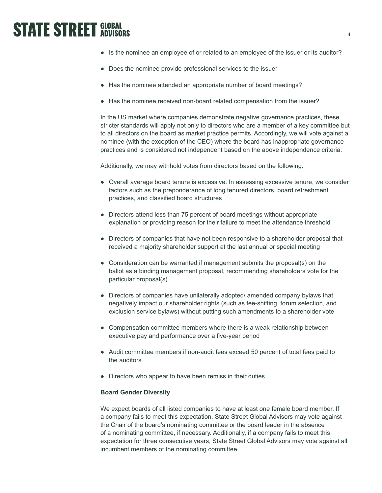- Is the nominee an employee of or related to an employee of the issuer or its auditor?
- Does the nominee provide professional services to the issuer
- Has the nominee attended an appropriate number of board meetings?
- Has the nominee received non-board related compensation from the issuer?

In the US market where companies demonstrate negative governance practices, these stricter standards will apply not only to directors who are a member of a key committee but to all directors on the board as market practice permits. Accordingly, we will vote against a nominee (with the exception of the CEO) where the board has inappropriate governance practices and is considered not independent based on the above independence criteria.

Additionally, we may withhold votes from directors based on the following:

- Overall average board tenure is excessive. In assessing excessive tenure, we consider factors such as the preponderance of long tenured directors, board refreshment practices, and classified board structures
- Directors attend less than 75 percent of board meetings without appropriate explanation or providing reason for their failure to meet the attendance threshold
- Directors of companies that have not been responsive to a shareholder proposal that received a majority shareholder support at the last annual or special meeting
- Consideration can be warranted if management submits the proposal(s) on the ballot as a binding management proposal, recommending shareholders vote for the particular proposal(s)
- Directors of companies have unilaterally adopted/ amended company bylaws that negatively impact our shareholder rights (such as fee-shifting, forum selection, and exclusion service bylaws) without putting such amendments to a shareholder vote
- Compensation committee members where there is a weak relationship between executive pay and performance over a five-year period
- Audit committee members if non-audit fees exceed 50 percent of total fees paid to the auditors
- Directors who appear to have been remiss in their duties

## **Board Gender Diversity**

We expect boards of all listed companies to have at least one female board member. If a company fails to meet this expectation, State Street Global Advisors may vote against the Chair of the board's nominating committee or the board leader in the absence of a nominating committee, if necessary. Additionally, if a company fails to meet this expectation for three consecutive years, State Street Global Advisors may vote against all incumbent members of the nominating committee.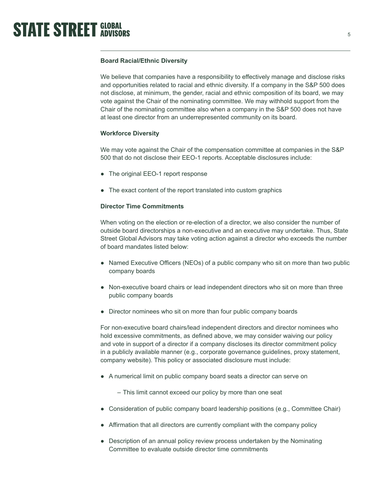## **Board Racial/Ethnic Diversity**

We believe that companies have a responsibility to effectively manage and disclose risks and opportunities related to racial and ethnic diversity. If a company in the S&P 500 does not disclose, at minimum, the gender, racial and ethnic composition of its board, we may vote against the Chair of the nominating committee. We may withhold support from the Chair of the nominating committee also when a company in the S&P 500 does not have at least one director from an underrepresented community on its board.

## **Workforce Diversity**

We may vote against the Chair of the compensation committee at companies in the S&P 500 that do not disclose their EEO-1 reports. Acceptable disclosures include:

- The original EEO-1 report response
- The exact content of the report translated into custom graphics

## **Director Time Commitments**

When voting on the election or re-election of a director, we also consider the number of outside board directorships a non-executive and an executive may undertake. Thus, State Street Global Advisors may take voting action against a director who exceeds the number of board mandates listed below:

- Named Executive Officers (NEOs) of a public company who sit on more than two public company boards
- Non-executive board chairs or lead independent directors who sit on more than three public company boards
- Director nominees who sit on more than four public company boards

For non-executive board chairs/lead independent directors and director nominees who hold excessive commitments, as defined above, we may consider waiving our policy and vote in support of a director if a company discloses its director commitment policy in a publicly available manner (e.g., corporate governance guidelines, proxy statement, company website). This policy or associated disclosure must include:

● A numerical limit on public company board seats a director can serve on

– This limit cannot exceed our policy by more than one seat

- Consideration of public company board leadership positions (e.g., Committee Chair)
- Affirmation that all directors are currently compliant with the company policy
- Description of an annual policy review process undertaken by the Nominating Committee to evaluate outside director time commitments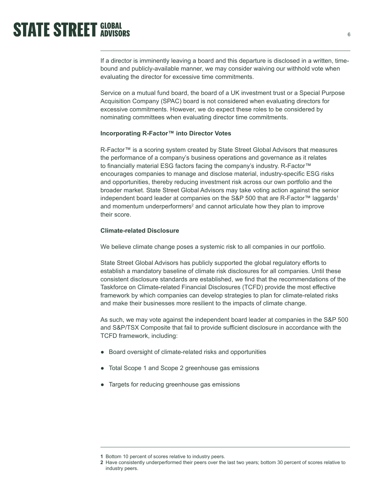If a director is imminently leaving a board and this departure is disclosed in a written, timebound and publicly-available manner, we may consider waiving our withhold vote when evaluating the director for excessive time commitments.

Service on a mutual fund board, the board of a UK investment trust or a Special Purpose Acquisition Company (SPAC) board is not considered when evaluating directors for excessive commitments. However, we do expect these roles to be considered by nominating committees when evaluating director time commitments.

## **Incorporating R-Factor™ into Director Votes**

R-Factor™ is a scoring system created by State Street Global Advisors that measures the performance of a company's business operations and governance as it relates to financially material ESG factors facing the company's industry. R-Factor™ encourages companies to manage and disclose material, industry-specific ESG risks and opportunities, thereby reducing investment risk across our own portfolio and the broader market. State Street Global Advisors may take voting action against the senior independent board leader at companies on the S&P 500 that are R-Factor™ laggards<sup>1</sup> and momentum underperformers<sup>2</sup> and cannot articulate how they plan to improve their score.

## **Climate-related Disclosure**

We believe climate change poses a systemic risk to all companies in our portfolio.

State Street Global Advisors has publicly supported the global regulatory efforts to establish a mandatory baseline of climate risk disclosures for all companies. Until these consistent disclosure standards are established, we find that the recommendations of the Taskforce on Climate-related Financial Disclosures (TCFD) provide the most effective framework by which companies can develop strategies to plan for climate-related risks and make their businesses more resilient to the impacts of climate change.

As such, we may vote against the independent board leader at companies in the S&P 500 and S&P/TSX Composite that fail to provide sufficient disclosure in accordance with the TCFD framework, including:

- Board oversight of climate-related risks and opportunities
- Total Scope 1 and Scope 2 greenhouse gas emissions
- Targets for reducing greenhouse gas emissions

**<sup>1</sup>** Bottom 10 percent of scores relative to industry peers.

**<sup>2</sup>** Have consistently underperformed their peers over the last two years; bottom 30 percent of scores relative to industry peers.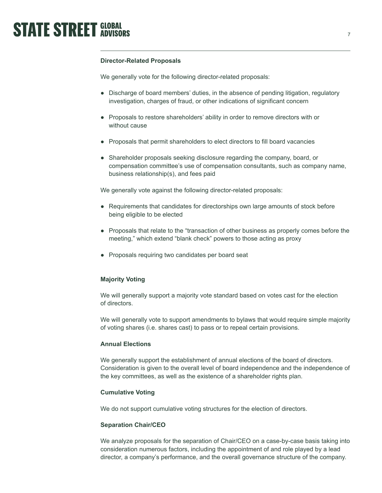## **Director-Related Proposals**

We generally vote for the following director-related proposals:

- Discharge of board members' duties, in the absence of pending litigation, regulatory investigation, charges of fraud, or other indications of significant concern
- Proposals to restore shareholders' ability in order to remove directors with or without cause
- Proposals that permit shareholders to elect directors to fill board vacancies
- Shareholder proposals seeking disclosure regarding the company, board, or compensation committee's use of compensation consultants, such as company name, business relationship(s), and fees paid

We generally vote against the following director-related proposals:

- Requirements that candidates for directorships own large amounts of stock before being eligible to be elected
- Proposals that relate to the "transaction of other business as properly comes before the meeting," which extend "blank check" powers to those acting as proxy
- Proposals requiring two candidates per board seat

### **Majority Voting**

We will generally support a majority vote standard based on votes cast for the election of directors.

We will generally vote to support amendments to bylaws that would require simple majority of voting shares (i.e. shares cast) to pass or to repeal certain provisions.

## **Annual Elections**

We generally support the establishment of annual elections of the board of directors. Consideration is given to the overall level of board independence and the independence of the key committees, as well as the existence of a shareholder rights plan.

### **Cumulative Voting**

We do not support cumulative voting structures for the election of directors.

## **Separation Chair/CEO**

We analyze proposals for the separation of Chair/CEO on a case-by-case basis taking into consideration numerous factors, including the appointment of and role played by a lead director, a company's performance, and the overall governance structure of the company.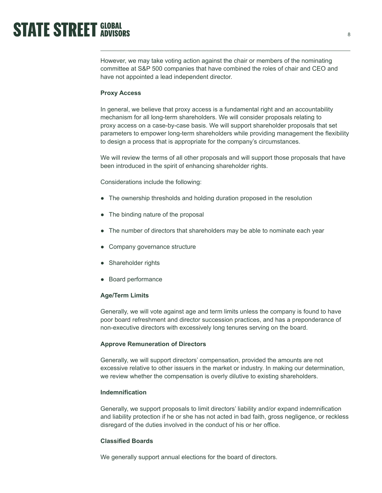However, we may take voting action against the chair or members of the nominating committee at S&P 500 companies that have combined the roles of chair and CEO and have not appointed a lead independent director.

### **Proxy Access**

In general, we believe that proxy access is a fundamental right and an accountability mechanism for all long-term shareholders. We will consider proposals relating to proxy access on a case-by-case basis. We will support shareholder proposals that set parameters to empower long-term shareholders while providing management the flexibility to design a process that is appropriate for the company's circumstances.

We will review the terms of all other proposals and will support those proposals that have been introduced in the spirit of enhancing shareholder rights.

Considerations include the following:

- The ownership thresholds and holding duration proposed in the resolution
- The binding nature of the proposal
- The number of directors that shareholders may be able to nominate each year
- Company governance structure
- Shareholder rights
- Board performance

### **Age/Term Limits**

Generally, we will vote against age and term limits unless the company is found to have poor board refreshment and director succession practices, and has a preponderance of non-executive directors with excessively long tenures serving on the board.

### **Approve Remuneration of Directors**

Generally, we will support directors' compensation, provided the amounts are not excessive relative to other issuers in the market or industry. In making our determination, we review whether the compensation is overly dilutive to existing shareholders.

## **Indemnification**

Generally, we support proposals to limit directors' liability and/or expand indemnification and liability protection if he or she has not acted in bad faith, gross negligence, or reckless disregard of the duties involved in the conduct of his or her office.

### **Classified Boards**

We generally support annual elections for the board of directors.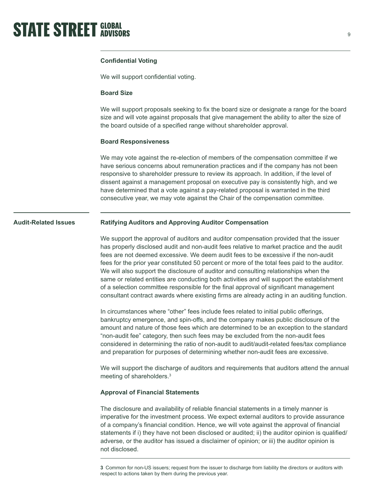

## **Confidential Voting**

We will support confidential voting.

### **Board Size**

We will support proposals seeking to fix the board size or designate a range for the board size and will vote against proposals that give management the ability to alter the size of the board outside of a specified range without shareholder approval.

### **Board Responsiveness**

We may vote against the re-election of members of the compensation committee if we have serious concerns about remuneration practices and if the company has not been responsive to shareholder pressure to review its approach. In addition, if the level of dissent against a management proposal on executive pay is consistently high, and we have determined that a vote against a pay-related proposal is warranted in the third consecutive year, we may vote against the Chair of the compensation committee.

#### **Ratifying Auditors and Approving Auditor Compensation Audit-Related Issues**

We support the approval of auditors and auditor compensation provided that the issuer has properly disclosed audit and non-audit fees relative to market practice and the audit fees are not deemed excessive. We deem audit fees to be excessive if the non-audit fees for the prior year constituted 50 percent or more of the total fees paid to the auditor. We will also support the disclosure of auditor and consulting relationships when the same or related entities are conducting both activities and will support the establishment of a selection committee responsible for the final approval of significant management consultant contract awards where existing firms are already acting in an auditing function.

In circumstances where "other" fees include fees related to initial public offerings, bankruptcy emergence, and spin-offs, and the company makes public disclosure of the amount and nature of those fees which are determined to be an exception to the standard "non-audit fee" category, then such fees may be excluded from the non-audit fees considered in determining the ratio of non-audit to audit/audit-related fees/tax compliance and preparation for purposes of determining whether non-audit fees are excessive.

We will support the discharge of auditors and requirements that auditors attend the annual meeting of shareholders.3

### **Approval of Financial Statements**

The disclosure and availability of reliable financial statements in a timely manner is imperative for the investment process. We expect external auditors to provide assurance of a company's financial condition. Hence, we will vote against the approval of financial statements if i) they have not been disclosed or audited; ii) the auditor opinion is qualified/ adverse, or the auditor has issued a disclaimer of opinion; or iii) the auditor opinion is not disclosed.

**<sup>3</sup>** Common for non-US issuers; request from the issuer to discharge from liability the directors or auditors with respect to actions taken by them during the previous year.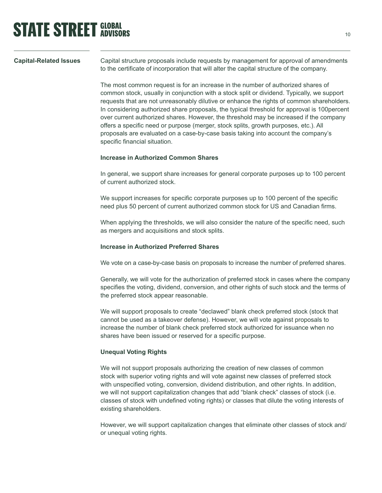## **Capital-Related Issues**

Capital structure proposals include requests by management for approval of amendments to the certificate of incorporation that will alter the capital structure of the company.

The most common request is for an increase in the number of authorized shares of common stock, usually in conjunction with a stock split or dividend. Typically, we support requests that are not unreasonably dilutive or enhance the rights of common shareholders. In considering authorized share proposals, the typical threshold for approval is 100percent over current authorized shares. However, the threshold may be increased if the company offers a specific need or purpose (merger, stock splits, growth purposes, etc.). All proposals are evaluated on a case-by-case basis taking into account the company's specific financial situation.

## **Increase in Authorized Common Shares**

In general, we support share increases for general corporate purposes up to 100 percent of current authorized stock.

We support increases for specific corporate purposes up to 100 percent of the specific need plus 50 percent of current authorized common stock for US and Canadian firms.

When applying the thresholds, we will also consider the nature of the specific need, such as mergers and acquisitions and stock splits.

## **Increase in Authorized Preferred Shares**

We vote on a case-by-case basis on proposals to increase the number of preferred shares.

Generally, we will vote for the authorization of preferred stock in cases where the company specifies the voting, dividend, conversion, and other rights of such stock and the terms of the preferred stock appear reasonable.

We will support proposals to create "declawed" blank check preferred stock (stock that cannot be used as a takeover defense). However, we will vote against proposals to increase the number of blank check preferred stock authorized for issuance when no shares have been issued or reserved for a specific purpose.

## **Unequal Voting Rights**

We will not support proposals authorizing the creation of new classes of common stock with superior voting rights and will vote against new classes of preferred stock with unspecified voting, conversion, dividend distribution, and other rights. In addition, we will not support capitalization changes that add "blank check" classes of stock (i.e. classes of stock with undefined voting rights) or classes that dilute the voting interests of existing shareholders.

However, we will support capitalization changes that eliminate other classes of stock and/ or unequal voting rights.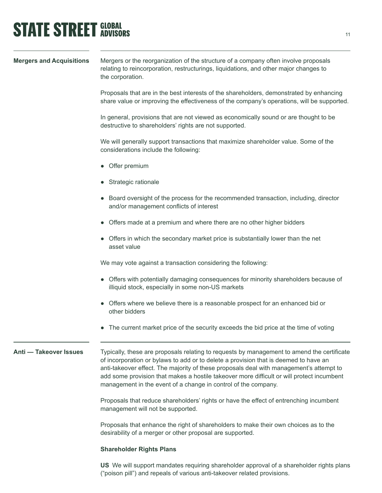## **STATE STREET GLOBAL STATE STREET GLOBAL**

| <b>Mergers and Acquisitions</b> | Mergers or the reorganization of the structure of a company often involve proposals<br>relating to reincorporation, restructurings, liquidations, and other major changes to<br>the corporation.                                                                                                                                                                                                                                             |
|---------------------------------|----------------------------------------------------------------------------------------------------------------------------------------------------------------------------------------------------------------------------------------------------------------------------------------------------------------------------------------------------------------------------------------------------------------------------------------------|
|                                 | Proposals that are in the best interests of the shareholders, demonstrated by enhancing<br>share value or improving the effectiveness of the company's operations, will be supported.                                                                                                                                                                                                                                                        |
|                                 | In general, provisions that are not viewed as economically sound or are thought to be<br>destructive to shareholders' rights are not supported.                                                                                                                                                                                                                                                                                              |
|                                 | We will generally support transactions that maximize shareholder value. Some of the<br>considerations include the following:                                                                                                                                                                                                                                                                                                                 |
|                                 | • Offer premium                                                                                                                                                                                                                                                                                                                                                                                                                              |
|                                 | • Strategic rationale                                                                                                                                                                                                                                                                                                                                                                                                                        |
|                                 | Board oversight of the process for the recommended transaction, including, director<br>and/or management conflicts of interest                                                                                                                                                                                                                                                                                                               |
|                                 | Offers made at a premium and where there are no other higher bidders                                                                                                                                                                                                                                                                                                                                                                         |
|                                 | Offers in which the secondary market price is substantially lower than the net<br>asset value                                                                                                                                                                                                                                                                                                                                                |
|                                 | We may vote against a transaction considering the following:                                                                                                                                                                                                                                                                                                                                                                                 |
|                                 | Offers with potentially damaging consequences for minority shareholders because of<br>illiquid stock, especially in some non-US markets                                                                                                                                                                                                                                                                                                      |
|                                 | Offers where we believe there is a reasonable prospect for an enhanced bid or<br>other bidders                                                                                                                                                                                                                                                                                                                                               |
|                                 | The current market price of the security exceeds the bid price at the time of voting<br>$\bullet$                                                                                                                                                                                                                                                                                                                                            |
| Anti - Takeover Issues          | Typically, these are proposals relating to requests by management to amend the certificate<br>of incorporation or bylaws to add or to delete a provision that is deemed to have an<br>anti-takeover effect. The majority of these proposals deal with management's attempt to<br>add some provision that makes a hostile takeover more difficult or will protect incumbent<br>management in the event of a change in control of the company. |
|                                 | Proposals that reduce shareholders' rights or have the effect of entrenching incumbent<br>management will not be supported.                                                                                                                                                                                                                                                                                                                  |
|                                 | Proposals that enhance the right of shareholders to make their own choices as to the<br>desirability of a merger or other proposal are supported.                                                                                                                                                                                                                                                                                            |
|                                 | <b>Shareholder Rights Plans</b>                                                                                                                                                                                                                                                                                                                                                                                                              |

**US** We will support mandates requiring shareholder approval of a shareholder rights plans ("poison pill") and repeals of various anti-takeover related provisions.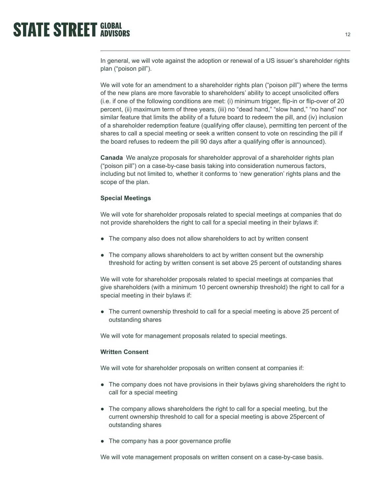In general, we will vote against the adoption or renewal of a US issuer's shareholder rights plan ("poison pill").

We will vote for an amendment to a shareholder rights plan ("poison pill") where the terms of the new plans are more favorable to shareholders' ability to accept unsolicited offers (i.e. if one of the following conditions are met: (i) minimum trigger, flip-in or flip-over of 20 percent, (ii) maximum term of three years, (iii) no "dead hand," "slow hand," "no hand" nor similar feature that limits the ability of a future board to redeem the pill, and (iv) inclusion of a shareholder redemption feature (qualifying offer clause), permitting ten percent of the shares to call a special meeting or seek a written consent to vote on rescinding the pill if the board refuses to redeem the pill 90 days after a qualifying offer is announced).

**Canada** We analyze proposals for shareholder approval of a shareholder rights plan ("poison pill") on a case-by-case basis taking into consideration numerous factors, including but not limited to, whether it conforms to 'new generation' rights plans and the scope of the plan.

### **Special Meetings**

We will vote for shareholder proposals related to special meetings at companies that do not provide shareholders the right to call for a special meeting in their bylaws if:

- The company also does not allow shareholders to act by written consent
- The company allows shareholders to act by written consent but the ownership threshold for acting by written consent is set above 25 percent of outstanding shares

We will vote for shareholder proposals related to special meetings at companies that give shareholders (with a minimum 10 percent ownership threshold) the right to call for a special meeting in their bylaws if:

● The current ownership threshold to call for a special meeting is above 25 percent of outstanding shares

We will vote for management proposals related to special meetings.

## **Written Consent**

We will vote for shareholder proposals on written consent at companies if:

- The company does not have provisions in their bylaws giving shareholders the right to call for a special meeting
- The company allows shareholders the right to call for a special meeting, but the current ownership threshold to call for a special meeting is above 25percent of outstanding shares
- The company has a poor governance profile

We will vote management proposals on written consent on a case-by-case basis.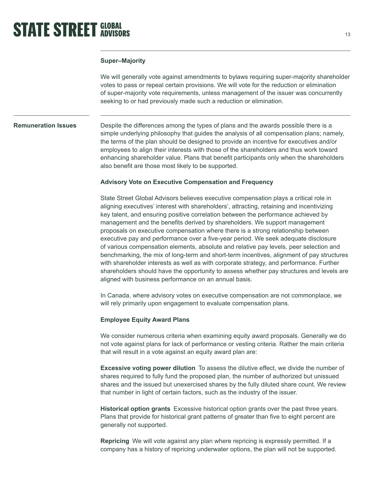## **Super–Majority**

We will generally vote against amendments to bylaws requiring super-majority shareholder votes to pass or repeal certain provisions. We will vote for the reduction or elimination of super-majority vote requirements, unless management of the issuer was concurrently seeking to or had previously made such a reduction or elimination.

## **Remuneration Issues**

Despite the differences among the types of plans and the awards possible there is a simple underlying philosophy that guides the analysis of all compensation plans; namely, the terms of the plan should be designed to provide an incentive for executives and/or employees to align their interests with those of the shareholders and thus work toward enhancing shareholder value. Plans that benefit participants only when the shareholders also benefit are those most likely to be supported.

## **Advisory Vote on Executive Compensation and Frequency**

State Street Global Advisors believes executive compensation plays a critical role in aligning executives' interest with shareholders', attracting, retaining and incentivizing key talent, and ensuring positive correlation between the performance achieved by management and the benefits derived by shareholders. We support management proposals on executive compensation where there is a strong relationship between executive pay and performance over a five-year period. We seek adequate disclosure of various compensation elements, absolute and relative pay levels, peer selection and benchmarking, the mix of long-term and short-term incentives, alignment of pay structures with shareholder interests as well as with corporate strategy, and performance. Further shareholders should have the opportunity to assess whether pay structures and levels are aligned with business performance on an annual basis.

In Canada, where advisory votes on executive compensation are not commonplace, we will rely primarily upon engagement to evaluate compensation plans.

## **Employee Equity Award Plans**

We consider numerous criteria when examining equity award proposals. Generally we do not vote against plans for lack of performance or vesting criteria. Rather the main criteria that will result in a vote against an equity award plan are:

**Excessive voting power dilution** To assess the dilutive effect, we divide the number of shares required to fully fund the proposed plan, the number of authorized but unissued shares and the issued but unexercised shares by the fully diluted share count. We review that number in light of certain factors, such as the industry of the issuer.

**Historical option grants** Excessive historical option grants over the past three years. Plans that provide for historical grant patterns of greater than five to eight percent are generally not supported.

**Repricing** We will vote against any plan where repricing is expressly permitted. If a company has a history of repricing underwater options, the plan will not be supported.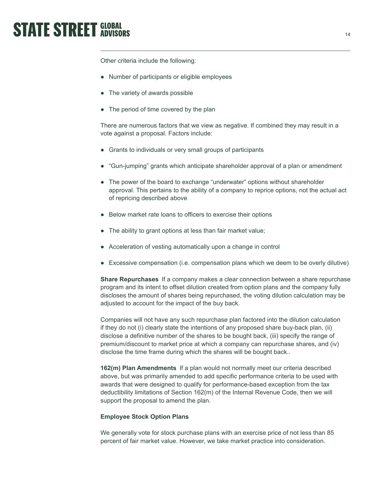Other criteria include the following:

- Number of participants or eligible employees
- The variety of awards possible
- The period of time covered by the plan

There are numerous factors that we view as negative. If combined they may result in a vote against a proposal. Factors include:

- Grants to individuals or very small groups of participants
- "Gun-jumping" grants which anticipate shareholder approval of a plan or amendment
- The power of the board to exchange "underwater" options without shareholder approval. This pertains to the ability of a company to reprice options, not the actual act of repricing described above
- Below market rate loans to officers to exercise their options
- The ability to grant options at less than fair market value;
- Acceleration of vesting automatically upon a change in control
- Excessive compensation (i.e. compensation plans which we deem to be overly dilutive)

**Share Repurchases** If a company makes a clear connection between a share repurchase program and its intent to offset dilution created from option plans and the company fully discloses the amount of shares being repurchased, the voting dilution calculation may be adjusted to account for the impact of the buy back.

Companies will not have any such repurchase plan factored into the dilution calculation if they do not (i) clearly state the intentions of any proposed share buy-back plan, (ii) disclose a definitive number of the shares to be bought back, (iii) specify the range of premium/discount to market price at which a company can repurchase shares, and (iv) disclose the time frame during which the shares will be bought back..

**162(m) Plan Amendments** If a plan would not normally meet our criteria described above, but was primarily amended to add specific performance criteria to be used with awards that were designed to qualify for performance-based exception from the tax deductibility limitations of Section 162(m) of the Internal Revenue Code, then we will support the proposal to amend the plan.

## **Employee Stock Option Plans**

We generally vote for stock purchase plans with an exercise price of not less than 85 percent of fair market value. However, we take market practice into consideration.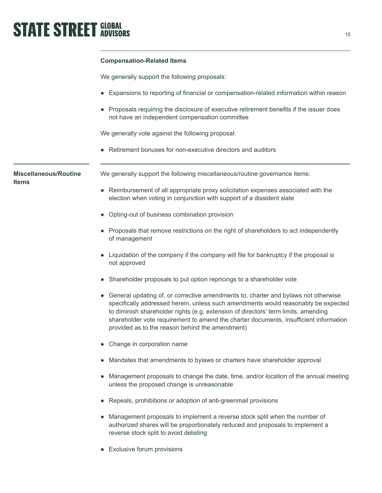## **Compensation-Related Items**

We generally support the following proposals:

- Expansions to reporting of financial or compensation-related information within reason
- Proposals requiring the disclosure of executive retirement benefits if the issuer does not have an independent compensation committee

We generally vote against the following proposal:

● Retirement bonuses for non-executive directors and auditors

**Miscellaneous/Routine Items**

We generally support the following miscellaneous/routine governance items:

- Reimbursement of all appropriate proxy solicitation expenses associated with the election when voting in conjunction with support of a dissident slate
- Opting-out of business combination provision
- Proposals that remove restrictions on the right of shareholders to act independently of management
- Liquidation of the company if the company will file for bankruptcy if the proposal is not approved
- Shareholder proposals to put option repricings to a shareholder vote
- General updating of, or corrective amendments to, charter and bylaws not otherwise specifically addressed herein, unless such amendments would reasonably be expected to diminish shareholder rights (e.g. extension of directors' term limits, amending shareholder vote requirement to amend the charter documents, insufficient information provided as to the reason behind the amendment)
- Change in corporation name
- Mandates that amendments to bylaws or charters have shareholder approval
- Management proposals to change the date, time, and/or location of the annual meeting unless the proposed change is unreasonable
- Repeals, prohibitions or adoption of anti-greenmail provisions
- Management proposals to implement a reverse stock split when the number of authorized shares will be proportionately reduced and proposals to implement a reverse stock split to avoid delisting
- Exclusive forum provisions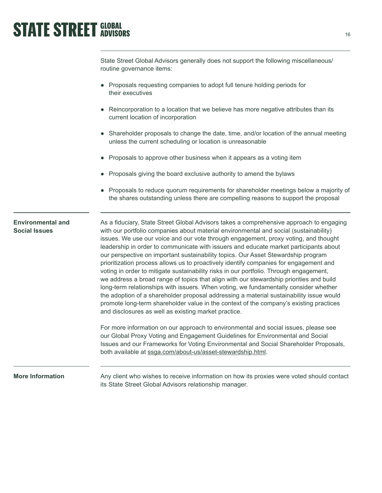State Street Global Advisors generally does not support the following miscellaneous/ routine governance items:

- Proposals requesting companies to adopt full tenure holding periods for their executives
- Reincorporation to a location that we believe has more negative attributes than its current location of incorporation
- Shareholder proposals to change the date, time, and/or location of the annual meeting unless the current scheduling or location is unreasonable
- Proposals to approve other business when it appears as a voting item
- Proposals giving the board exclusive authority to amend the bylaws
- Proposals to reduce quorum requirements for shareholder meetings below a majority of the shares outstanding unless there are compelling reasons to support the proposal

## **Environmental and Social Issues**

As a fiduciary, State Street Global Advisors takes a comprehensive approach to engaging with our portfolio companies about material environmental and social (sustainability) issues. We use our voice and our vote through engagement, proxy voting, and thought leadership in order to communicate with issuers and educate market participants about our perspective on important sustainability topics. Our Asset Stewardship program prioritization process allows us to proactively identify companies for engagement and voting in order to mitigate sustainability risks in our portfolio. Through engagement, we address a broad range of topics that align with our stewardship priorities and build long-term relationships with issuers. When voting, we fundamentally consider whether the adoption of a shareholder proposal addressing a material sustainability issue would promote long-term shareholder value in the context of the company's existing practices and disclosures as well as existing market practice.

For more information on our approach to environmental and social issues, please see our Global Proxy Voting and Engagement Guidelines for Environmental and Social Issues and our Frameworks for Voting Environmental and Social Shareholder Proposals, both available at [ssga.com/about-us/asset-stewardship.html](http://www.ssga.com/about-us/asset-stewardship.html).

## **More Information**

Any client who wishes to receive information on how its proxies were voted should contact its State Street Global Advisors relationship manager.